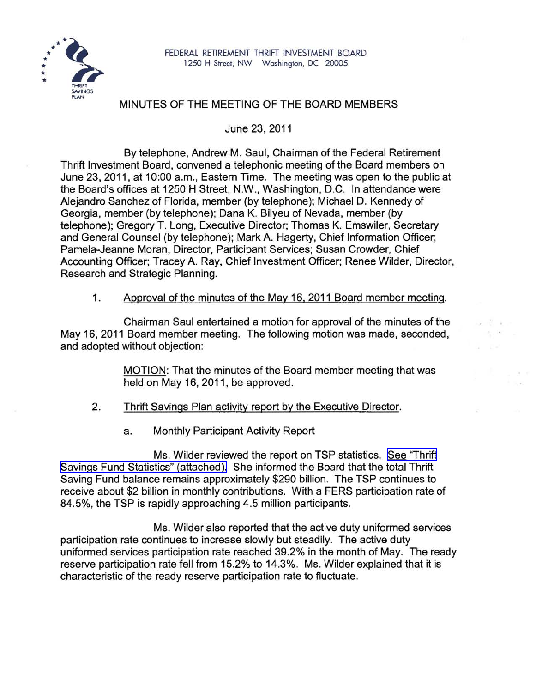

## MINUTES OF THE MEETING OF THE BOARD MEMBERS

June 23, 2011

By telephone, Andrew M. Saul, Chairman of the Federal Retirement Thrift Investment Board, convened a telephonic meeting of the Board members on June 23, 2011, at 10:00 a.m., Eastern Time. The meeting was open to the public at the Board's offices at 1250 H Street, N.W., Washington, D.C. In attendance were Alejandro Sanchez of Florida, member (by telephone); Michael D. Kennedy of Georgia, member (by telephone); Dana K. Bilyeu of Nevada, member (by telephone); Gregory T. Long, Executive Director; Thomas K. Emswiler, Secretary and General Counsel (by telephone); Mark A. Hagerty, Chief Information Officer; Pamela-Jeanne Moran, Director, Participant Services; Susan Crowder, Chief Accounting Officer; Tracey A. Ray, Chief Investment Officer; Renee Wilder, Director, Research and Strategic Planning.

1. Approval of the minutes of the May 16, 2011 Board member meeting.

Chairman Saul entertained a motion for approval of the minutes of the May 16, 2011 Board member meeting. The following motion was made, seconded, and adopted without objection:

> MOTION: That the minutes of the Board member meeting that was held on May 16, 2011, be approved.

 $-2 - 2 - 1$ 

- 2. Thrift Savings Plan activity report by the Executive Director.
	- a. Monthly Participant Activity Report

Ms. Wilder reviewed the report on TSP statistics. See ["Thrift](http://www.frtib.gov/pdf/minutes/MM-2011Jun-Att1.pdf) Savings Fund Statistics" [\(attached\).](http://www.frtib.gov/pdf/minutes/MM-2011Jun-Att1.pdf) She informed the Board that the total Thrift Saving Fund balance remains approximately \$290 billion. The TSP continues to receive about \$2 billion in monthly contributions. With a FERS participation rate of 84.5%, the TSP is rapidly approaching 4.5 million participants.

Ms. Wilder also reported that the active duty uniformed services participation rate continues to increase slowly but steadily. The active duty uniformed services participation rate reached 39.2% in the month of May. The ready reserve participation rate fell from 15.2% to 14.3%. Ms. Wilder explained that it is characteristic of the ready reserve participation rate to fluctuate.